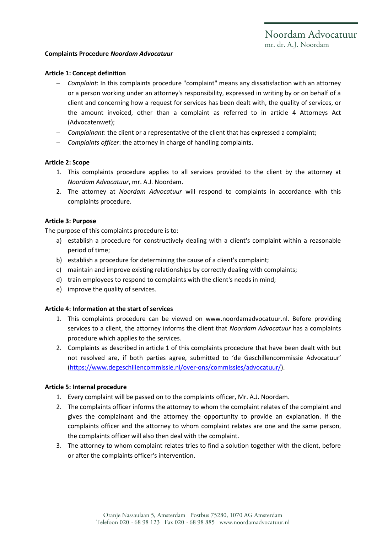# **Complaints Procedure** *Noordam Advocatuur*

### **Article 1: Concept definition**

- *Complaint*: In this complaints procedure "complaint" means any dissatisfaction with an attorney or a person working under an attorney's responsibility, expressed in writing by or on behalf of a client and concerning how a request for services has been dealt with, the quality of services, or the amount invoiced, other than a complaint as referred to in article 4 Attorneys Act (Advocatenwet);
- *Complainant*: the client or a representative of the client that has expressed a complaint;
- *Complaints officer*: the attorney in charge of handling complaints.

### **Article 2: Scope**

- 1. This complaints procedure applies to all services provided to the client by the attorney at *Noordam Advocatuur*, mr. A.J. Noordam.
- 2. The attorney at *Noordam Advocatuur* will respond to complaints in accordance with this complaints procedure.

### **Article 3: Purpose**

The purpose of this complaints procedure is to:

- a) establish a procedure for constructively dealing with a client's complaint within a reasonable period of time;
- b) establish a procedure for determining the cause of a client's complaint;
- c) maintain and improve existing relationships by correctly dealing with complaints;
- d) train employees to respond to complaints with the client's needs in mind;
- e) improve the quality of services.

# **Article 4: Information at the start of services**

- 1. This complaints procedure can be viewed on www.noordamadvocatuur.nl. Before providing services to a client, the attorney informs the client that *Noordam Advocatuur* has a complaints procedure which applies to the services.
- 2. Complaints as described in article 1 of this complaints procedure that have been dealt with but not resolved are, if both parties agree, submitted to 'de Geschillencommissie Advocatuur' [\(https://www.degeschillencommissie.nl/over-ons/commissies/advocatuur/\)](https://www.degeschillencommissie.nl/over-ons/commissies/advocatuur/).

#### **Article 5: Internal procedure**

- 1. Every complaint will be passed on to the complaints officer, Mr. A.J. Noordam.
- 2. The complaints officer informs the attorney to whom the complaint relates of the complaint and gives the complainant and the attorney the opportunity to provide an explanation. If the complaints officer and the attorney to whom complaint relates are one and the same person, the complaints officer will also then deal with the complaint.
- 3. The attorney to whom complaint relates tries to find a solution together with the client, before or after the complaints officer's intervention.